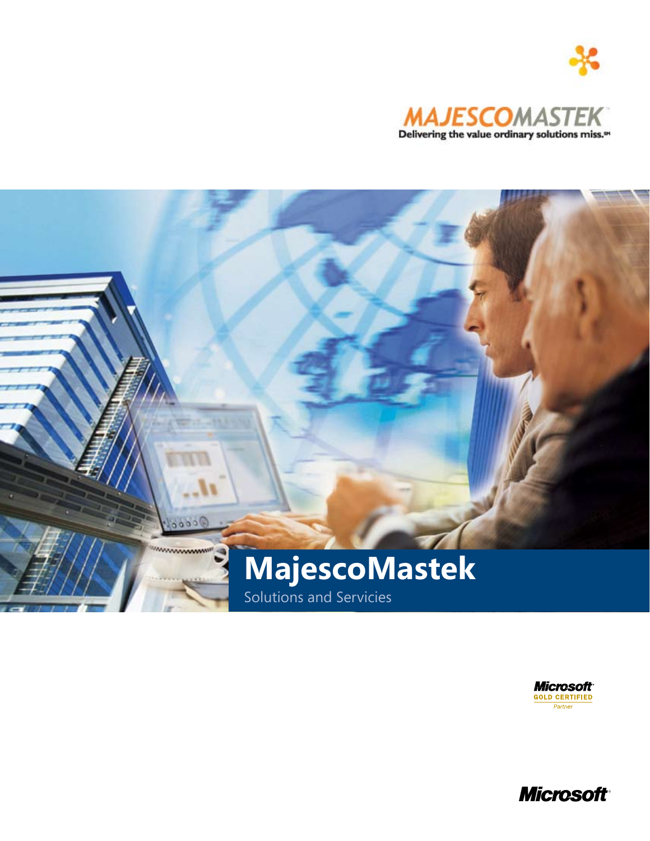





**Microsoft**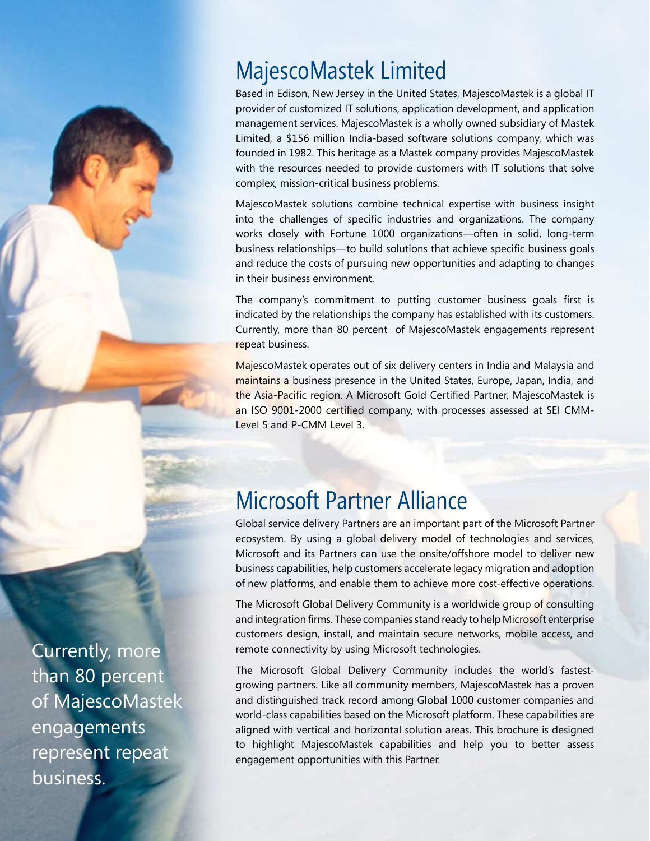# MajescoMastek Limited

Based in Edison, New Jersey in the United States, MajescoMastek is a global IT provider of customized IT solutions, application development, and application management services. MajescoMastek is a wholly owned subsidiary of Mastek Limited, a \$156 million India-based software solutions company, which was founded in 1982. This heritage as a Mastek company provides MajescoMastek with the resources needed to provide customers with IT solutions that solve complex, mission-critical business problems.

MajescoMastek solutions combine technical expertise with business insight into the challenges of specific industries and organizations. The company works closely with Fortune 1000 organizations—often in solid, long-term business relationships—to build solutions that achieve specific business goals and reduce the costs of pursuing new opportunities and adapting to changes in their business environment.

The company's commitment to putting customer business goals first is indicated by the relationships the company has established with its customers. Currently, more than 80 percent of MajescoMastek engagements represent repeat business.

MajescoMastek operates out of six delivery centers in India and Malaysia and maintains a business presence in the United States, Europe, Japan, India, and the Asia-Pacific region. A Microsoft Gold Certified Partner, MajescoMastek is an ISO 9001-2000 certified company, with processes assessed at SEI CMM-Level 5 and P-CMM Level 3.

# Microsoft Partner Alliance

Global service delivery Partners are an important part of the Microsoft Partner ecosystem. By using a global delivery model of technologies and services, Microsoft and its Partners can use the onsite/offshore model to deliver new business capabilities, help customers accelerate legacy migration and adoption of new platforms, and enable them to achieve more cost-effective operations.

The Microsoft Global Delivery Community is a worldwide group of consulting and integration firms. These companies stand ready to help Microsoft enterprise customers design, install, and maintain secure networks, mobile access, and remote connectivity by using Microsoft technologies.

The Microsoft Global Delivery Community includes the world's fastestgrowing partners. Like all community members, MajescoMastek has a proven and distinguished track record among Global 1000 customer companies and world-class capabilities based on the Microsoft platform. These capabilities are aligned with vertical and horizontal solution areas. This brochure is designed to highlight MajescoMastek capabilities and help you to better assess engagement opportunities with this Partner.

Currently, more than 80 percent of MajescoMastek engagements represent repeat business.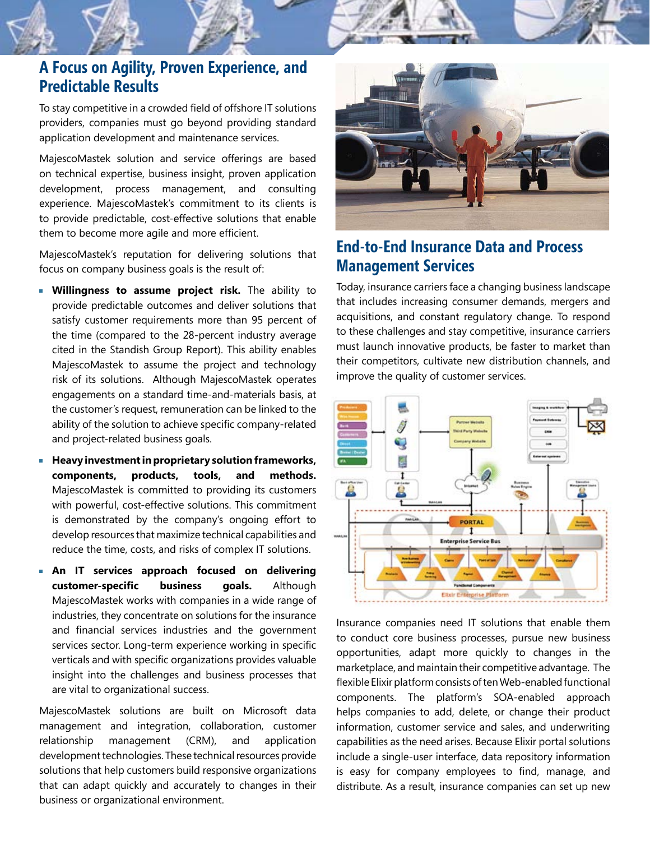# **A Focus on Agility, Proven Experience, and Predictable Results**

To stay competitive in a crowded field of offshore IT solutions providers, companies must go beyond providing standard application development and maintenance services.

MajescoMastek solution and service offerings are based on technical expertise, business insight, proven application development, process management, and consulting experience. MajescoMastek's commitment to its clients is to provide predictable, cost-effective solutions that enable them to become more agile and more efficient.

MajescoMastek's reputation for delivering solutions that focus on company business goals is the result of:

- **Willingness to assume project risk.** The ability to provide predictable outcomes and deliver solutions that satisfy customer requirements more than 95 percent of the time (compared to the 28-percent industry average cited in the Standish Group Report). This ability enables MajescoMastek to assume the project and technology risk of its solutions. Although MajescoMastek operates engagements on a standard time-and-materials basis, at the customer's request, remuneration can be linked to the ability of the solution to achieve specific company-related and project-related business goals.
- **Heavy investment in proprietary solution frameworks, components, products, tools, and methods.**  MajescoMastek is committed to providing its customers with powerful, cost-effective solutions. This commitment is demonstrated by the company's ongoing effort to develop resources that maximize technical capabilities and reduce the time, costs, and risks of complex IT solutions.
- **An IT services approach focused on delivering customer-specific business goals.** Although MajescoMastek works with companies in a wide range of industries, they concentrate on solutions for the insurance and financial services industries and the government services sector. Long-term experience working in specific verticals and with specific organizations provides valuable insight into the challenges and business processes that are vital to organizational success.

MajescoMastek solutions are built on Microsoft data management and integration, collaboration, customer relationship management (CRM), and application development technologies. These technical resources provide solutions that help customers build responsive organizations that can adapt quickly and accurately to changes in their business or organizational environment.



## **End-to-End Insurance Data and Process Management Services**

Today, insurance carriers face a changing business landscape that includes increasing consumer demands, mergers and acquisitions, and constant regulatory change. To respond to these challenges and stay competitive, insurance carriers must launch innovative products, be faster to market than their competitors, cultivate new distribution channels, and improve the quality of customer services.



Insurance companies need IT solutions that enable them to conduct core business processes, pursue new business opportunities, adapt more quickly to changes in the marketplace, and maintain their competitive advantage. The flexible Elixir platform consists of ten Web-enabled functional components. The platform's SOA-enabled approach helps companies to add, delete, or change their product information, customer service and sales, and underwriting capabilities as the need arises. Because Elixir portal solutions include a single-user interface, data repository information is easy for company employees to find, manage, and distribute. As a result, insurance companies can set up new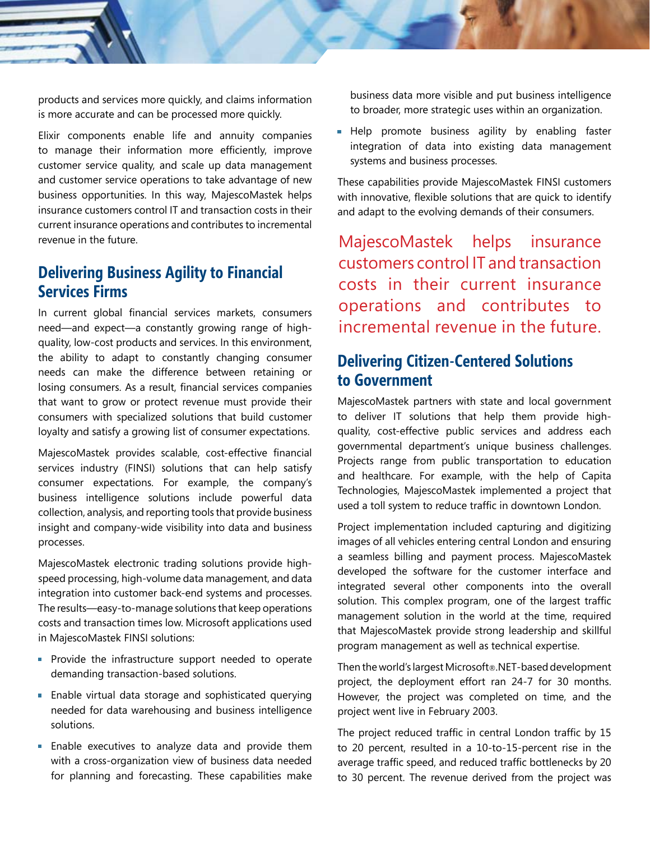products and services more quickly, and claims information is more accurate and can be processed more quickly.

Elixir components enable life and annuity companies to manage their information more efficiently, improve customer service quality, and scale up data management and customer service operations to take advantage of new business opportunities. In this way, MajescoMastek helps insurance customers control IT and transaction costs in their current insurance operations and contributes to incremental revenue in the future.

## **Delivering Business Agility to Financial Services Firms**

In current global financial services markets, consumers need—and expect—a constantly growing range of highquality, low-cost products and services. In this environment, the ability to adapt to constantly changing consumer needs can make the difference between retaining or losing consumers. As a result, financial services companies that want to grow or protect revenue must provide their consumers with specialized solutions that build customer loyalty and satisfy a growing list of consumer expectations.

MajescoMastek provides scalable, cost-effective financial services industry (FINSI) solutions that can help satisfy consumer expectations. For example, the company's business intelligence solutions include powerful data collection, analysis, and reporting tools that provide business insight and company-wide visibility into data and business processes.

MajescoMastek electronic trading solutions provide highspeed processing, high-volume data management, and data integration into customer back-end systems and processes. The results—easy-to-manage solutions that keep operations costs and transaction times low. Microsoft applications used in MajescoMastek FINSI solutions:

- **Provide the infrastructure support needed to operate** demanding transaction-based solutions.
- **Enable virtual data storage and sophisticated querying** needed for data warehousing and business intelligence solutions.
- **Enable executives to analyze data and provide them** with a cross-organization view of business data needed for planning and forecasting. These capabilities make

business data more visible and put business intelligence to broader, more strategic uses within an organization.

**Help** promote business agility by enabling faster integration of data into existing data management systems and business processes.

These capabilities provide MajescoMastek FINSI customers with innovative, flexible solutions that are quick to identify and adapt to the evolving demands of their consumers.

MajescoMastek helps insurance customers control IT and transaction costs in their current insurance operations and contributes to incremental revenue in the future.

# **Delivering Citizen-Centered Solutions to Government**

MajescoMastek partners with state and local government to deliver IT solutions that help them provide highquality, cost-effective public services and address each governmental department's unique business challenges. Projects range from public transportation to education and healthcare. For example, with the help of Capita Technologies, MajescoMastek implemented a project that used a toll system to reduce traffic in downtown London.

Project implementation included capturing and digitizing images of all vehicles entering central London and ensuring a seamless billing and payment process. MajescoMastek developed the software for the customer interface and integrated several other components into the overall solution. This complex program, one of the largest traffic management solution in the world at the time, required that MajescoMastek provide strong leadership and skillful program management as well as technical expertise.

Then the world's largest Microsoft®.NET-based development project, the deployment effort ran 24-7 for 30 months. However, the project was completed on time, and the project went live in February 2003.

The project reduced traffic in central London traffic by 15 to 20 percent, resulted in a 10-to-15-percent rise in the average traffic speed, and reduced traffic bottlenecks by 20 to 30 percent. The revenue derived from the project was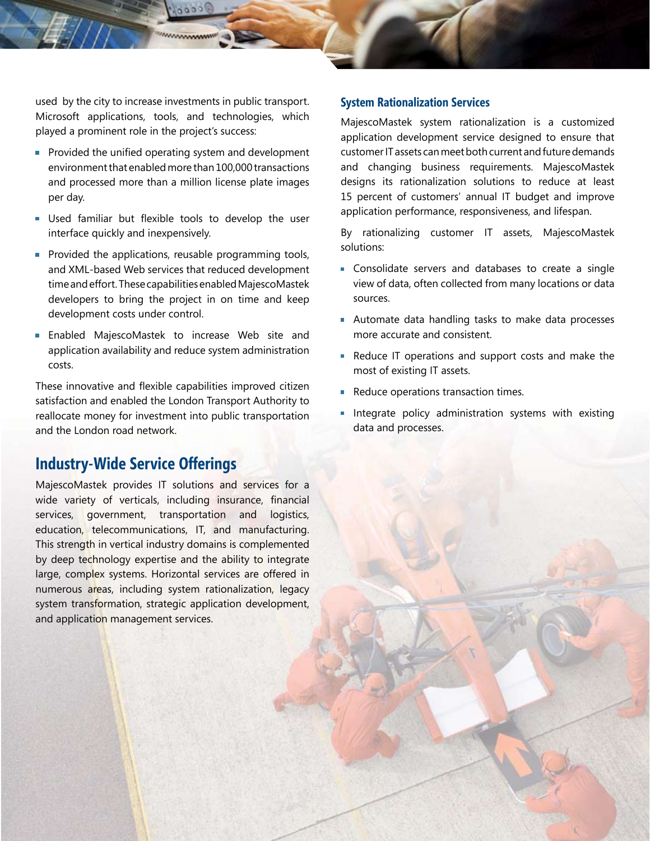used by the city to increase investments in public transport. Microsoft applications, tools, and technologies, which played a prominent role in the project's success:

**WWWWWW** 

- **Provided the unified operating system and development** environment that enabled more than 100,000 transactions and processed more than a million license plate images per day.
- Used familiar but flexible tools to develop the user interface quickly and inexpensively.
- **Provided the applications, reusable programming tools,** and XML-based Web services that reduced development time and effort. These capabilities enabled MajescoMastek developers to bring the project in on time and keep development costs under control.
- Enabled MajescoMastek to increase Web site and  $\mathbb{H}$ application availability and reduce system administration costs.

These innovative and flexible capabilities improved citizen satisfaction and enabled the London Transport Authority to reallocate money for investment into public transportation and the London road network.

## **Industry-Wide Service Offerings**

MajescoMastek provides IT solutions and services for a wide variety of verticals, including insurance, financial services, government, transportation and logistics, education, telecommunications, IT, and manufacturing. This strength in vertical industry domains is complemented by deep technology expertise and the ability to integrate large, complex systems. Horizontal services are offered in numerous areas, including system rationalization, legacy system transformation, strategic application development, and application management services.

### **System Rationalization Services**

MajescoMastek system rationalization is a customized application development service designed to ensure that customer IT assets can meet both current and future demands and changing business requirements. MajescoMastek designs its rationalization solutions to reduce at least 15 percent of customers' annual IT budget and improve application performance, responsiveness, and lifespan.

By rationalizing customer IT assets, MajescoMastek solutions:

- **Consolidate servers and databases to create a single** view of data, often collected from many locations or data sources.
- Automate data handling tasks to make data processes more accurate and consistent.
- Reduce IT operations and support costs and make the most of existing IT assets.
- Reduce operations transaction times.
- **Integrate policy administration systems with existing** data and processes.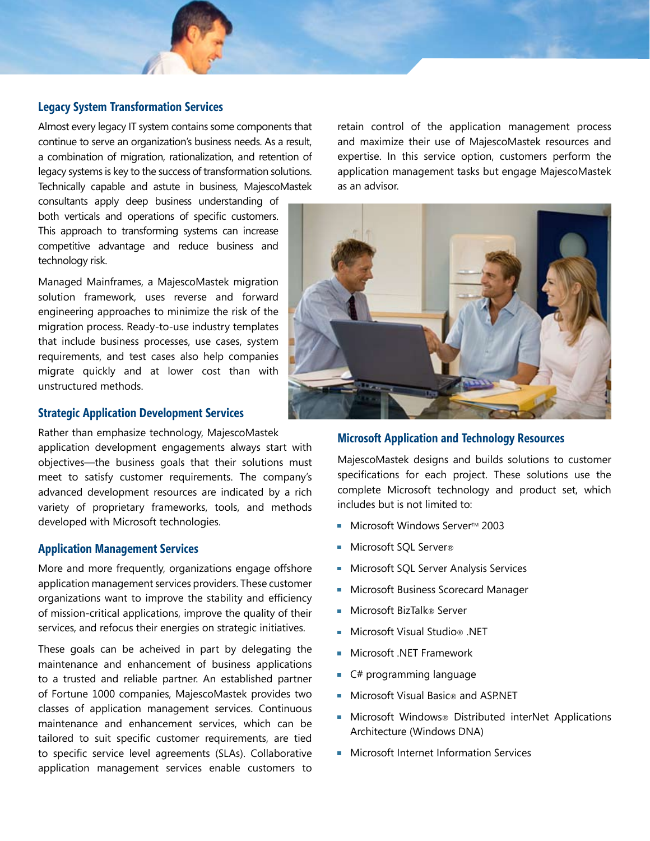

Almost every legacy IT system contains some components that continue to serve an organization's business needs. As a result, a combination of migration, rationalization, and retention of legacy systems is key to the success of transformation solutions. Technically capable and astute in business, MajescoMastek

consultants apply deep business understanding of both verticals and operations of specific customers. This approach to transforming systems can increase competitive advantage and reduce business and technology risk.

Managed Mainframes, a MajescoMastek migration solution framework, uses reverse and forward engineering approaches to minimize the risk of the migration process. Ready-to-use industry templates that include business processes, use cases, system requirements, and test cases also help companies migrate quickly and at lower cost than with unstructured methods.

#### **Strategic Application Development Services**

Rather than emphasize technology, MajescoMastek application development engagements always start with objectives—the business goals that their solutions must meet to satisfy customer requirements. The company's advanced development resources are indicated by a rich variety of proprietary frameworks, tools, and methods developed with Microsoft technologies.

### **Application Management Services**

More and more frequently, organizations engage offshore application management services providers. These customer organizations want to improve the stability and efficiency of mission-critical applications, improve the quality of their services, and refocus their energies on strategic initiatives.

These goals can be acheived in part by delegating the maintenance and enhancement of business applications to a trusted and reliable partner. An established partner of Fortune 1000 companies, MajescoMastek provides two classes of application management services. Continuous maintenance and enhancement services, which can be tailored to suit specific customer requirements, are tied to specific service level agreements (SLAs). Collaborative application management services enable customers to

retain control of the application management process and maximize their use of MajescoMastek resources and expertise. In this service option, customers perform the application management tasks but engage MajescoMastek as an advisor.



## **Microsoft Application and Technology Resources**

MajescoMastek designs and builds solutions to customer specifications for each project. These solutions use the complete Microsoft technology and product set, which includes but is not limited to:

- Microsoft Windows Server™ 2003 m.
- Microsoft SQL Server®
- Microsoft SQL Server Analysis Services **I**
- Microsoft Business Scorecard Manager
- Microsoft BizTalk® Server
- Microsoft Visual Studio® .NET
- Microsoft .NET Framework
- $\blacksquare$  C# programming language
- Microsoft Visual Basic® and ASP.NET
- Microsoft Windows® Distributed interNet Applications Architecture (Windows DNA)
- **Microsoft Internet Information Services**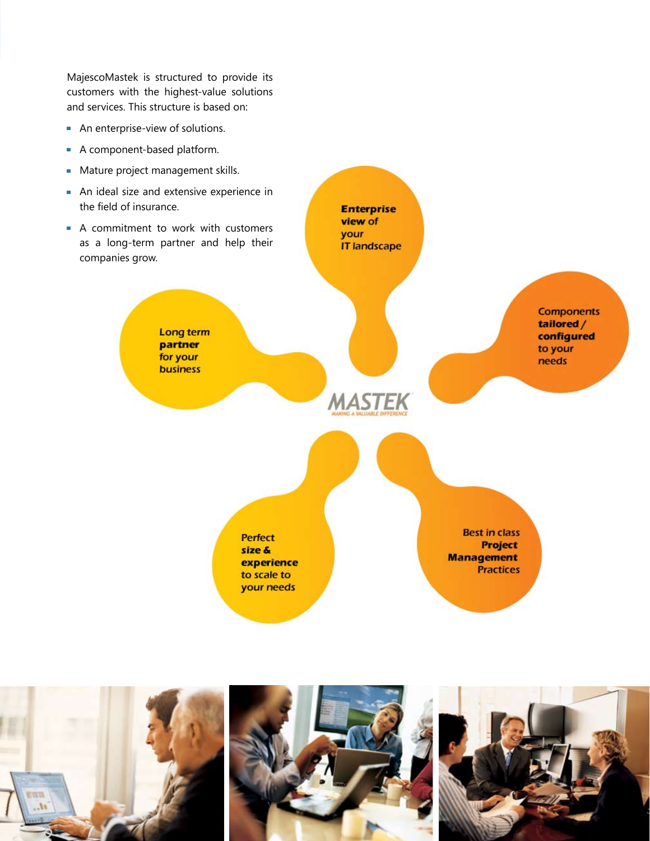MajescoMastek is structured to provide its customers with the highest-value solutions and services. This structure is based on:

- **An enterprise-view of solutions.**
- A component-based platform.
- **Mature project management skills.**
- An ideal size and extensive experience in the field of insurance.
- A commitment to work with customers as a long-term partner and help their companies grow.

Long term partner for your **business** 

> Perfect size & experience to scale to your needs

**Best in class Project Management Practices** 

**Components** tailored /

configured

to your

needs



**Enterprise** view of your

**IT landscape** 

**MASTEK**